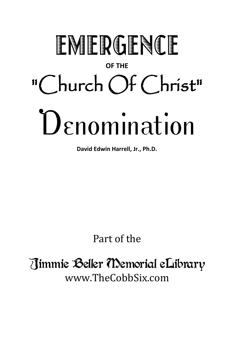## EMERGENCE **OF THE** "Church Of Christ" **Denomination**

**David Edwin Harrell, Jr., Ph.D.**

Part of the

Jimmie Beller Memorial eLibrary www.TheCobbSix.com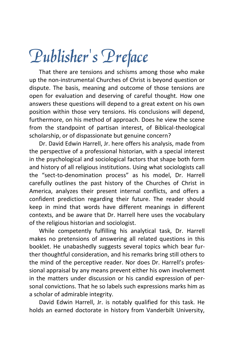## Publisher's Preface

That there are tensions and schisms among those who make up the non-instrumental Churches of Christ is beyond question or dispute. The basis, meaning and outcome of those tensions are open for evaluation and deserving of careful thought. How one answers these questions will depend to a great extent on his own position within those very tensions. His conclusions will depend, furthermore, on his method of approach. Does he view the scene from the standpoint of partisan interest, of Biblical-theological scholarship, or of dispassionate but genuine concern?

Dr. David Edwin Harrell, Jr. here offers his analysis, made from the perspective of a professional historian, with a special interest in the psychological and sociological factors that shape both form and history of all religious institutions. Using what sociologists call the "sect-to-denomination process" as his model, Dr. Harrell carefully outlines the past history of the Churches of Christ in America, analyzes their present internal conflicts, and offers a confident prediction regarding their future. The reader should keep in mind that words have different meanings in different contexts, and be aware that Dr. Harrell here uses the vocabulary of the religious historian and sociologist.

While competently fulfilling his analytical task, Dr. Harrell makes no pretensions of answering all related questions in this booklet. He unabashedly suggests several topics which bear further thoughtful consideration, and his remarks bring still others to the mind of the perceptive reader. Nor does Dr. Harrell's professional appraisal by any means prevent either his own involvement in the matters under discussion or his candid expression of personal convictions. That he so labels such expressions marks him as a scholar of admirable integrity.

David Edwin Harrell, Jr. is notably qualified for this task. He holds an earned doctorate in history from Vanderbilt University,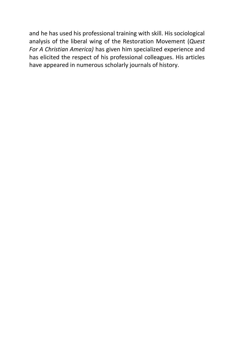and he has used his professional training with skill. His sociological analysis of the liberal wing of the Restoration Movement (*Quest For A Christian America)* has given him specialized experience and has elicited the respect of his professional colleagues. His articles have appeared in numerous scholarly journals of history.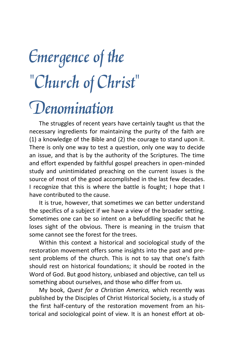## Emergence of the "Church of Christ" **Denomination**

The struggles of recent years have certainly taught us that the necessary ingredients for maintaining the purity of the faith are (1) a knowledge of the Bible and (2) the courage to stand upon it. There is only one way to test a question, only one way to decide an issue, and that is by the authority of the Scriptures. The time and effort expended by faithful gospel preachers in open-minded study and unintimidated preaching on the current issues is the source of most of the good accomplished in the last few decades. I recognize that this is where the battle is fought; I hope that I have contributed to the cause.

It is true, however, that sometimes we can better understand the specifics of a subject if we have a view of the broader setting. Sometimes one can be so intent on a befuddling specific that he loses sight of the obvious. There is meaning in the truism that some cannot see the forest for the trees.

Within this context a historical and sociological study of the restoration movement offers some insights into the past and present problems of the church. This is not to say that one's faith should rest on historical foundations; it should be rooted in the Word of God. But good history, unbiased and objective, can tell us something about ourselves, and those who differ from us.

My book, *Quest for a Christian America,* which recently was published by the Disciples of Christ Historical Society, is a study of the first half-century of the restoration movement from an historical and sociological point of view. It is an honest effort at ob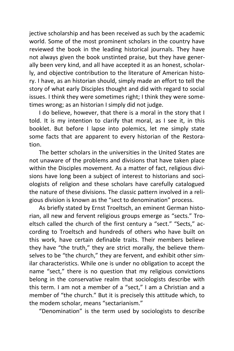jective scholarship and has been received as such by the academic world. Some of the most prominent scholars in the country have reviewed the book in the leading historical journals. They have not always given the book unstinted praise, but they have generally been very kind, and all have accepted it as an honest, scholarly, and objective contribution to the literature of American history. I have, as an historian should, simply made an effort to tell the story of what early Disciples thought and did with regard to social issues. I think they were sometimes right; I think they were sometimes wrong; as an historian I simply did not judge.

I do believe, however, that there is a moral in the story that I told. It is my intention to clarify that moral, as I see it, in this booklet. But before I lapse into polemics, let me simply state some facts that are apparent to every historian of the Restoration.

The better scholars in the universities in the United States are not unaware of the problems and divisions that have taken place within the Disciples movement. As a matter of fact, religious divisions have long been a subject of interest to historians and sociologists of religion and these scholars have carefully catalogued the nature of these divisions. The classic pattern involved in a religious division is known as the "sect to denomination" process.

As briefly stated by Ernst Troeltsch, an eminent German historian, all new and fervent religious groups emerge as "sects." Troeltsch called the church of the first century a "sect." "Sects," according to Troeltsch and hundreds of others who have built on this work, have certain definable traits. Their members believe they have "the truth," they are strict morally, the believe themselves to be "the church," they are fervent, and exhibit other similar characteristics. While one is under no obligation to accept the name "sect," there is no question that my religious convictions belong in the conservative realm that sociologists describe with this term. I am not a member of a "sect," I am a Christian and a member of "the church." But it is precisely this attitude which, to the modem scholar, means "sectarianism."

"Denomination" is the term used by sociologists to describe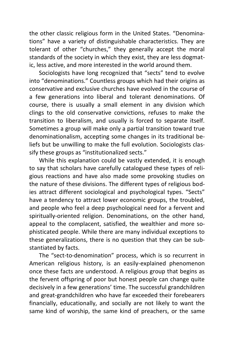the other classic religious form in the United States. "Denominations" have a variety of distinguishable characteristics. They are tolerant of other "churches," they generally accept the moral standards of the society in which they exist, they are less dogmatic, less active, and more interested in the world around them.

Sociologists have long recognized that "sects" tend to evolve into "denominations." Countless groups which had their origins as conservative and exclusive churches have evolved in the course of a few generations into liberal and tolerant denominations. Of course, there is usually a small element in any division which clings to the old conservative convictions, refuses to make the transition to liberalism, and usually is forced to separate itself. Sometimes a group will make only a partial transition toward true denominationalism, accepting some changes in its traditional beliefs but be unwilling to make the full evolution. Sociologists classify these groups as "institutionalized sects."

While this explanation could be vastly extended, it is enough to say that scholars have carefully catalogued these types of religious reactions and have also made some provoking studies on the nature of these divisions. The different types of religious bodies attract different sociological and psychological types. "Sects" have a tendency to attract lower economic groups, the troubled, and people who feel a deep psychological need for a fervent and spiritually-oriented religion. Denominations, on the other hand, appeal to the complacent, satisfied, the wealthier and more sophisticated people. While there are many individual exceptions to these generalizations, there is no question that they can be substantiated by facts.

The "sect-to-denomination" process, which is so recurrent in American religious history, is an easily-explained phenomenon once these facts are understood. A religious group that begins as the fervent offspring of poor but honest people can change quite decisively in a few generations' time. The successful grandchildren and great-grandchildren who have far exceeded their forebearers financially, educationally, and socially are not likely to want the same kind of worship, the same kind of preachers, or the same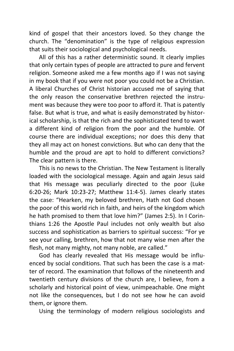kind of gospel that their ancestors loved. So they change the church. The "denomination" is the type of religious expression that suits their sociological and psychological needs.

All of this has a rather deterministic sound. It clearly implies that only certain types of people are attracted to pure and fervent religion. Someone asked me a few months ago if I was not saying in my book that if you were not poor you could not be a Christian. A liberal Churches of Christ historian accused me of saying that the only reason the conservative brethren rejected the instrument was because they were too poor to afford it. That is patently false. But what is true, and what is easily demonstrated by historical scholarship, is that the rich and the sophisticated tend to want a different kind of religion from the poor and the humble. Of course there are individual exceptions; nor does this deny that they all may act on honest convictions. But who can deny that the humble and the proud are apt to hold to different convictions? The clear pattern is there.

This is no news to the Christian. The New Testament is literally loaded with the sociological message. Again and again Jesus said that His message was peculiarly directed to the poor (Luke 6:20-26; Mark 10:23-27; Matthew 11:4-5). James clearly states the case: "Hearken, my beloved brethren, Hath not God chosen the poor of this world rich in faith, and heirs of the kingdom which he hath promised to them that love him?" (James 2:5). In I Corinthians 1:26 the Apostle Paul includes not only wealth but also success and sophistication as barriers to spiritual success: "For ye see your calling, brethren, how that not many wise men after the flesh, not many mighty, not many noble, are called."

God has clearly revealed that His message would be influenced by social conditions. That such has been the case is a matter of record. The examination that follows of the nineteenth and twentieth century divisions of the church are, I believe, from a scholarly and historical point of view, unimpeachable. One might not like the consequences, but I do not see how he can avoid them, or ignore them.

Using the terminology of modern religious sociologists and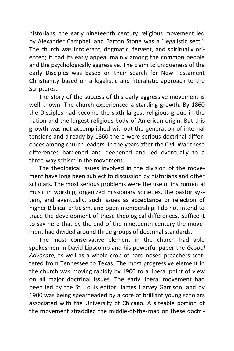historians, the early nineteenth century religious movement led by Alexander Campbell and Barton Stone was a "legalistic sect." The church was intolerant, dogmatic, fervent, and spiritually oriented; it had its early appeal mainly among the common people and the psychologically aggressive. The claim to uniqueness of the early Disciples was based on their search for New Testament Christianity based on a legalistic and literalistic approach to the Scriptures.

The story of the success of this early aggressive movement is well known. The church experienced a startling growth. By 1860 the Disciples had become the sixth largest religious group in the nation and the largest religious body of American origin. But this growth was not accomplished without the generation of internal tensions and already by 1860 there were serious doctrinal differences among church leaders. In the years after the Civil War these differences hardened and deepened and led eventually to a three-way schism in the movement.

The theological issues involved in the division of the movement have long been subject to discussion by historians and other scholars. The most serious problems were the use of instrumental music in worship, organized missionary societies, the pastor system, and eventually, such issues as acceptance or rejection of higher Biblical criticism, and open membership. I do not intend to trace the development of these theological differences. Suffice it to say here that by the end of the nineteenth century the movement had divided around three groups of doctrinal standards.

The most conservative element in the church had able spokesmen in David Lipscomb and his powerful paper the *Gospel Advocate,* as well as a whole crop of hard-nosed preachers scattered from Tennessee to Texas. The most progressive element in the church was moving rapidly by 1900 to a liberal point of view on all major doctrinal issues. The early liberal movement had been led by the St. Louis editor, James Harvey Garrison, and by 1900 was being spearheaded by a core of brilliant young scholars associated with the University of Chicago. A sizeable portion of the movement straddled the middle-of-the-road on these doctri-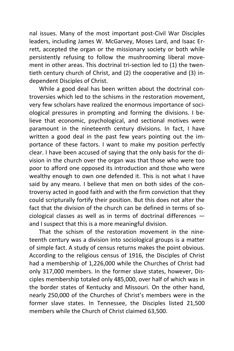nal issues. Many of the most important post-Civil War Disciples leaders, including James W. McGarvey, Moses Lard, and Isaac Errett, accepted the organ or the missionary society or both while persistently refusing to follow the mushrooming liberal movement in other areas. This doctrinal tri-section led to (1) the twentieth century church of Christ, and (2) the cooperative and (3) independent Disciples of Christ.

While a good deal has been written about the doctrinal controversies which led to the schisms in the restoration movement, very few scholars have realized the enormous importance of sociological pressures in prompting and forming the divisions. I believe that economic, psychological, and sectional motives were paramount in the nineteenth century divisions. In fact, I have written a good deal in the past few years pointing out the importance of these factors. I want to make my position perfectly clear. I have been accused of saying that the only basis for the division in the church over the organ was that those who were too poor to afford one opposed its introduction and those who were wealthy enough to own one defended it. This is not what I have said by any means. I believe that men on both sides of the controversy acted in good faith and with the firm conviction that they could scripturally fortify their position. But this does not alter the fact that the division of the church can be defined in terms of sociological classes as well as in terms of doctrinal differences and I suspect that this is a more meaningful division.

That the schism of the restoration movement in the nineteenth century was a division into sociological groups is a matter of simple fact. A study of census returns makes the point obvious. According to the religious census of 1916, the Disciples of Christ had a membership of 1,226,000 while the Churches of Christ had only 317,000 members. In the former slave states, however, Disciples membership totaled only 485,000, over half of which was in the border states of Kentucky and Missouri. On the other hand, nearly 250,000 of the Churches of Christ's members were in the former slave states. In Tennessee, the Disciples listed 21,500 members while the Church of Christ claimed 63,500.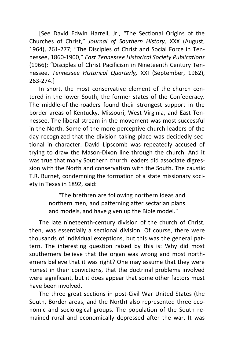[See David Edwin Harrell, Jr., "The Sectional Origins of the Churches of Christ," *Journal of Southern History,* XXX (August, 1964), 261-277; "The Disciples of Christ and Social Force in Tennessee, 1860-1900," *East Tennessee Historical Society Publications* (1966); "Disciples of Christ Pacificism in Nineteenth Century Tennessee, *Tennessee Historical Quarterly,* XXI (September, 1962), 263-274.]

In short, the most conservative element of the church centered in the lower South, the former states of the Confederacy. The middle-of-the-roaders found their strongest support in the border areas of Kentucky, Missouri, West Virginia, and East Tennessee. The liberal stream in the movement was most successful in the North. Some of the more perceptive church leaders of the day recognized that the division taking place was decidedly sectional in character. David Lipscomb was repeatedly accused of trying to draw the Mason-Dixon line through the church. And it was true that many Southern church leaders did associate digression with the North and conservatism with the South. The caustic T.R. Burnet, condemning the formation of a state missionary society in Texas in 1892, said:

> "The brethren are following northern ideas and northern men, and patterning after sectarian plans and models, and have given up the Bible model."

The late nineteenth-century division of the church of Christ, then, was essentially a sectional division. Of course, there were thousands of individual exceptions, but this was the general pattern. The interesting question raised by this is: Why did most southerners believe that the organ was wrong and most northerners believe that it was right? One may assume that they were honest in their convictions, that the doctrinal problems involved were significant, but it does appear that some other factors must have been involved.

The three great sections in post-Civil War United States (the South, Border areas, and the North) also represented three economic and sociological groups. The population of the South remained rural and economically depressed after the war. It was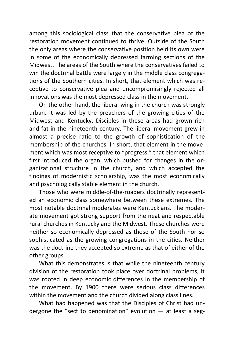among this sociological class that the conservative plea of the restoration movement continued to thrive. Outside of the South the only areas where the conservative position held its own were in some of the economically depressed farming sections of the Midwest. The areas of the South where the conservatives failed to win the doctrinal battle were largely in the middle class congregations of the Southern cities. In short, that element which was receptive to conservative plea and uncompromisingly rejected all innovations was the most depressed class in the movement.

On the other hand, the liberal wing in the church was strongly urban. It was led by the preachers of the growing cities of the Midwest and Kentucky. Disciples in these areas had grown rich and fat in the nineteenth century. The liberal movement grew in almost a precise ratio to the growth of sophistication of the membership of the churches. In short, that element in the movement which was most receptive to "progress," that element which first introduced the organ, which pushed for changes in the organizational structure in the church, and which accepted the findings of modernistic scholarship, was the most economically and psychologically stable element in the church.

Those who were middle-of-the-roaders doctrinally represented an economic class somewhere between these extremes. The most notable doctrinal moderates were Kentuckians. The moderate movement got strong support from the neat and respectable rural churches in Kentucky and the Midwest. These churches were neither so economically depressed as those of the South nor so sophisticated as the growing congregations in the cities. Neither was the doctrine they accepted so extreme as that of either of the other groups.

What this demonstrates is that while the nineteenth century division of the restoration took place over doctrinal problems, it was rooted in deep economic differences in the membership of the movement. By 1900 there were serious class differences within the movement and the church divided along class lines.

What had happened was that the Disciples of Christ had undergone the "sect to denomination" evolution  $-$  at least a seg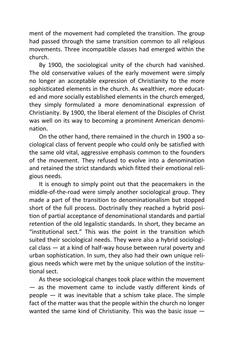ment of the movement had completed the transition. The group had passed through the same transition common to all religious movements. Three incompatible classes had emerged within the church.

By 1900, the sociological unity of the church had vanished. The old conservative values of the early movement were simply no longer an acceptable expression of Christianity to the more sophisticated elements in the church. As wealthier, more educated and more socially established elements in the church emerged, they simply formulated a more denominational expression of Christianity. By 1900, the liberal element of the Disciples of Christ was well on its way to becoming a prominent American denomination.

On the other hand, there remained in the church in 1900 a sociological class of fervent people who could only be satisfied with the same old vital, aggressive emphasis common to the founders of the movement. They refused to evolve into a denomination and retained the strict standards which fitted their emotional religious needs.

It is enough to simply point out that the peacemakers in the middle-of-the-road were simply another sociological group. They made a part of the transition to denominationalism but stopped short of the full process. Doctrinally they reached a hybrid position of partial acceptance of denominational standards and partial retention of the old legalistic standards. In short, they became an "institutional sect." This was the point in the transition which suited their sociological needs. They were also a hybrid sociological class — at a kind of half-way house between rural poverty and urban sophistication. In sum, they also had their own unique religious needs which were met by the unique solution of the institutional sect.

As these sociological changes took place within the movement — as the movement came to include vastly different kinds of  $p^{\text{e}}$  people  $-$  it was inevitable that a schism take place. The simple fact of the matter was that the people within the church no longer wanted the same kind of Christianity. This was the basic issue —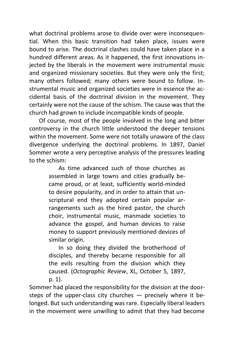what doctrinal problems arose to divide over were inconsequential. When this basic transition had taken place, issues were bound to arise. The doctrinal clashes could have taken place in a hundred different areas. As it happened, the first innovations injected by the liberals in the movement were instrumental music and organized missionary societies. But they were only the first; many others followed; many others were bound to follow. Instrumental music and organized societies were in essence the accidental basis of the doctrinal division in the movement. They certainly were not the cause of the schism. The cause was that the church had grown to include incompatible kinds of people.

Of course, most of the people involved in the long and bitter controversy in the church little understood the deeper tensions within the movement. Some were not totally unaware of the class divergence underlying the doctrinal problems. In 1897, Daniel Sommer wrote a very perceptive analysis of the pressures leading to the schism:

> As time advanced such of those churches as assembled in large towns and cities gradually became proud, or at least, sufficiently world-minded to desire popularity, and in order to attain that unscriptural end they adopted certain popular arrangements such as the hired pastor, the church choir, instrumental music, manmade societies to advance the gospel, and human devices to raise money to support previously mentioned devices of similar origin.

> In so doing they divided the brotherhood of disciples, and thereby became responsible for all the evils resulting from the division which they caused. (*Octographic Review*, XL, October 5, 1897, p. 1).

Sommer had placed the responsibility for the division at the doorsteps of the upper-class city churches — precisely where it belonged. But such understanding was rare. Especially liberal leaders in the movement were unwilling to admit that they had become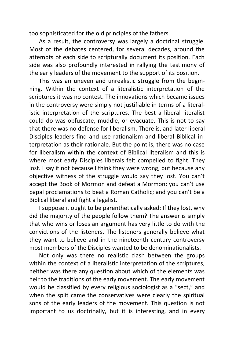too sophisticated for the old principles of the fathers.

As a result, the controversy was largely a doctrinal struggle. Most of the debates centered, for several decades, around the attempts of each side to scripturally document its position. Each side was also profoundly interested in rallying the testimony of the early leaders of the movement to the support of its position.

This was an uneven and unrealistic struggle from the beginning. Within the context of a literalistic interpretation of the scriptures it was no contest. The innovations which became issues in the controversy were simply not justifiable in terms of a literalistic interpretation of the scriptures. The best a liberal literalist could do was obfuscate, muddle, or evacuate. This is not to say that there was no defense for liberalism. There is, and later liberal Disciples leaders find and use rationalism and liberal Biblical interpretation as their rationale. But the point is, there was no case for liberalism within the context of Biblical literalism and this is where most early Disciples liberals felt compelled to fight. They lost. I say it not because I think they were wrong, but because any objective witness of the struggle would say they lost. You can't accept the Book of Mormon and defeat a Mormon; you can't use papal proclamations to beat a Roman Catholic; and you can't be a Biblical liberal and fight a legalist.

I suppose it ought to be parenthetically asked: If they lost, why did the majority of the people follow them? The answer is simply that who wins or loses an argument has very little to do with the convictions of the listeners. The listeners generally believe what they want to believe and in the nineteenth century controversy most members of the Disciples wanted to be denominationalists.

Not only was there no realistic clash between the groups within the context of a literalistic interpretation of the scriptures, neither was there any question about which of the elements was heir to the traditions of the early movement. The early movement would be classified by every religious sociologist as a "sect," and when the split came the conservatives were clearly the spiritual sons of the early leaders of the movement. This question is not important to us doctrinally, but it is interesting, and in every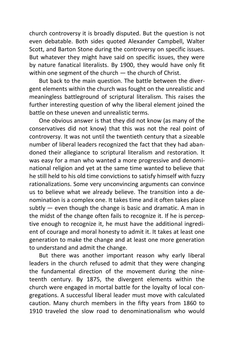church controversy it is broadly disputed. But the question is not even debatable. Both sides quoted Alexander Campbell, Walter Scott, and Barton Stone during the controversy on specific issues. But whatever they might have said on specific issues, they were by nature fanatical literalists. By 1900, they would have only fit within one segment of the church — the church of Christ.

But back to the main question. The battle between the divergent elements within the church was fought on the unrealistic and meaningless battleground of scriptural literalism. This raises the further interesting question of why the liberal element joined the battle on these uneven and unrealistic terms.

One obvious answer is that they did not know (as many of the conservatives did not know) that this was not the real point of controversy. It was not until the twentieth century that a sizeable number of liberal leaders recognized the fact that they had abandoned their allegiance to scriptural literalism and restoration. It was easy for a man who wanted a more progressive and denominational religion and yet at the same time wanted to believe that he still held to his old time convictions to satisfy himself with fuzzy rationalizations. Some very unconvincing arguments can convince us to believe what we already believe. The transition into a denomination is a complex one. It takes time and it often takes place subtly  $-$  even though the change is basic and dramatic. A man in the midst of the change often fails to recognize it. If he is perceptive enough to recognize it, he must have the additional ingredient of courage and moral honesty to admit it. It takes at least one generation to make the change and at least one more generation to understand and admit the change.

But there was another important reason why early liberal leaders in the church refused to admit that they were changing the fundamental direction of the movement during the nineteenth century. By 1875, the divergent elements within the church were engaged in mortal battle for the loyalty of local congregations. A successful liberal leader must move with calculated caution. Many church members in the fifty years from 1860 to 1910 traveled the slow road to denominationalism who would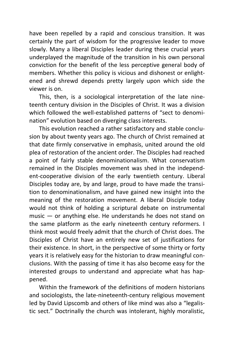have been repelled by a rapid and conscious transition. It was certainly the part of wisdom for the progressive leader to move slowly. Many a liberal Disciples leader during these crucial years underplayed the magnitude of the transition in his own personal conviction for the benefit of the less perceptive general body of members. Whether this policy is vicious and dishonest or enlightened and shrewd depends pretty largely upon which side the viewer is on.

This, then, is a sociological interpretation of the late nineteenth century division in the Disciples of Christ. It was a division which followed the well-established patterns of "sect to denomination" evolution based on diverging class interests.

This evolution reached a rather satisfactory and stable conclusion by about twenty years ago. The church of Christ remained at that date firmly conservative in emphasis, united around the old plea of restoration of the ancient order. The Disciples had reached a point of fairly stable denominationalism. What conservatism remained in the Disciples movement was shed in the independent-cooperative division of the early twentieth century. Liberal Disciples today are, by and large, proud to have made the transition to denominationalism, and have gained new insight into the meaning of the restoration movement. A liberal Disciple today would not think of holding a scriptural debate on instrumental music — or anything else. He understands he does not stand on the same platform as the early nineteenth century reformers. I think most would freely admit that the church of Christ does. The Disciples of Christ have an entirely new set of justifications for their existence. In short, in the perspective of some thirty or forty years it is relatively easy for the historian to draw meaningful conclusions. With the passing of time it has also become easy for the interested groups to understand and appreciate what has happened.

Within the framework of the definitions of modern historians and sociologists, the late-nineteenth-century religious movement led by David Lipscomb and others of like mind was also a "legalistic sect." Doctrinally the church was intolerant, highly moralistic,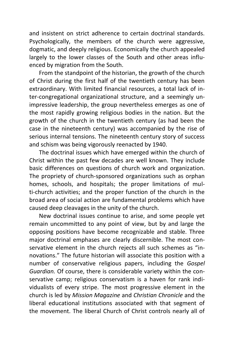and insistent on strict adherence to certain doctrinal standards. Psychologically, the members of the church were aggressive, dogmatic, and deeply religious. Economically the church appealed largely to the lower classes of the South and other areas influenced by migration from the South.

From the standpoint of the historian, the growth of the church of Christ during the first half of the twentieth century has been extraordinary. With limited financial resources, a total lack of inter-congregational organizational structure, and a seemingly unimpressive leadership, the group nevertheless emerges as one of the most rapidly growing religious bodies in the nation. But the growth of the church in the twentieth century (as had been the case in the nineteenth century) was accompanied by the rise of serious internal tensions. The nineteenth century story of success and schism was being vigorously reenacted by 1940.

The doctrinal issues which have emerged within the church of Christ within the past few decades are well known. They include basic differences on questions of church work and organization. The propriety of church-sponsored organizations such as orphan homes, schools, and hospitals; the proper limitations of multi-church activities; and the proper function of the church in the broad area of social action are fundamental problems which have caused deep cleavages in the unity of the church.

New doctrinal issues continue to arise, and some people yet remain uncommitted to any point of view, but by and large the opposing positions have become recognizable and stable. Three major doctrinal emphases are clearly discernible. The most conservative element in the church rejects all such schemes as "innovations." The future historian will associate this position with a number of conservative religious papers, including the *Gospel Guardian.* Of course, there is considerable variety within the conservative camp; religious conservatism is a haven for rank individualists of every stripe. The most progressive element in the church is led by *Mission Magazine* and *Christian Chronicle* and the liberal educational institutions associated with that segment of the movement. The liberal Church of Christ controls nearly all of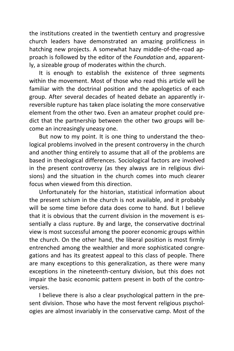the institutions created in the twentieth century and progressive church leaders have demonstrated an amazing prolificness in hatching new projects. A somewhat hazy middle-of-the-road approach is followed by the editor of the *Foundation* and, apparently, a sizeable group of moderates within the church.

It is enough to establish the existence of three segments within the movement. Most of those who read this article will be familiar with the doctrinal position and the apologetics of each group. After several decades of heated debate an apparently irreversible rupture has taken place isolating the more conservative element from the other two. Even an amateur prophet could predict that the partnership between the other two groups will become an increasingly uneasy one.

But now to my point. It is one thing to understand the theological problems involved in the present controversy in the church and another thing entirely to assume that all of the problems are based in theological differences. Sociological factors are involved in the present controversy (as they always are in religious divisions) and the situation in the church comes into much clearer focus when viewed from this direction.

Unfortunately for the historian, statistical information about the present schism in the church is not available, and it probably will be some time before data does come to hand. But I believe that it is obvious that the current division in the movement is essentially a class rupture. By and large, the conservative doctrinal view is most successful among the poorer economic groups within the church. On the other hand, the liberal position is most firmly entrenched among the wealthier and more sophisticated congregations and has its greatest appeal to this class of people. There are many exceptions to this generalization, as there were many exceptions in the nineteenth-century division, but this does not impair the basic economic pattern present in both of the controversies.

I believe there is also a clear psychological pattern in the present division. Those who have the most fervent religious psychologies are almost invariably in the conservative camp. Most of the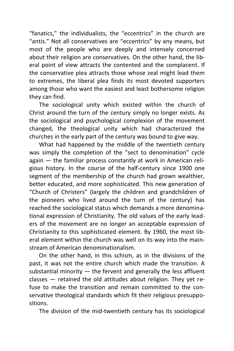"fanatics," the individualists, the "eccentrics" in the church are "antis." Not all conservatives are "eccentrics" by any means, but most of the people who are deeply and intensely concerned about their religion are conservatives. On the other hand, the liberal point of view attracts the contented and the complacent. If the conservative plea attracts those whose zeal might lead them to extremes, the liberal plea finds its most devoted supporters among those who want the easiest and least bothersome religion they can find.

The sociological unity which existed within the church of Christ around the turn of the century simply no longer exists. As the sociological and psychological complexion of the movement changed, the theological unity which had characterized the churches in the early part of the century was bound to give way.

What had happened by the middle of the twentieth century was simply the completion of the "sect to denomination" cycle again — the familiar process constantly at work in American religious history. In the course of the half-century since 1900 one segment of the membership of the church had grown wealthier, better educated, and more sophisticated. This new generation of "Church of Christers" (largely the children and grandchildren of the pioneers who lived around the turn of the century) has reached the sociological status which demands a more denominational expression of Christianity. The old values of the early leaders of the movement are no longer an acceptable expression of Christianity to this sophisticated element. By 1960, the most liberal element within the church was well on its way into the mainstream of American denominationalism.

On the other hand, in this schism, as in the divisions of the past, it was not the entire church which made the transition. A substantial minority  $-$  the fervent and generally the less affluent classes — retained the old attitudes about religion. They yet refuse to make the transition and remain committed to the conservative theological standards which fit their religious presuppositions.

The division of the mid-twentieth century has its sociological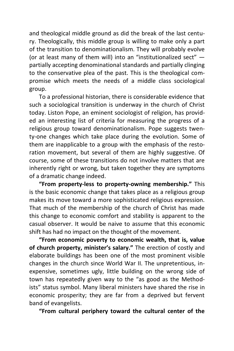and theological middle ground as did the break of the last century. Theologically, this middle group is willing to make only a part of the transition to denominationalism. They will probably evolve (or at least many of them will) into an "institutionalized sect" partially accepting denominational standards and partially clinging to the conservative plea of the past. This is the theological compromise which meets the needs of a middle class sociological group.

To a professional historian, there is considerable evidence that such a sociological transition is underway in the church of Christ today. Liston Pope, an eminent sociologist of religion, has provided an interesting list of criteria for measuring the progress of a religious group toward denominationalism. Pope suggests twenty-one changes which take place during the evolution. Some of them are inapplicable to a group with the emphasis of the restoration movement, but several of them are highly suggestive. Of course, some of these transitions do not involve matters that are inherently right or wrong, but taken together they are symptoms of a dramatic change indeed.

**"From property-less to property-owning membership."** This is the basic economic change that takes place as a religious group makes its move toward a more sophisticated religious expression. That much of the membership of the church of Christ has made this change to economic comfort and stability is apparent to the casual observer. It would be naive to assume that this economic shift has had no impact on the thought of the movement.

**"From economic poverty to economic wealth, that is, value of church property, minister's salary."** The erection of costly and elaborate buildings has been one of the most prominent visible changes in the church since World War II. The unpretentious, inexpensive, sometimes ugly, little building on the wrong side of town has repeatedly given way to the "as good as the Methodists" status symbol. Many liberal ministers have shared the rise in economic prosperity; they are far from a deprived but fervent band of evangelists.

**"From cultural periphery toward the cultural center of the**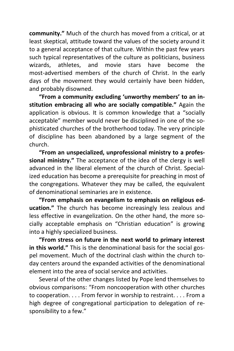**community."** Much of the church has moved from a critical, or at least skeptical, attitude toward the values of the society around it to a general acceptance of that culture. Within the past few years such typical representatives of the culture as politicians, business wizards, athletes, and movie stars have become the most-advertised members of the church of Christ. In the early days of the movement they would certainly have been hidden, and probably disowned.

**"From a community excluding 'unworthy members' to an institution embracing all who are socially compatible."** Again the application is obvious. It is common knowledge that a "socially acceptable" member would never be disciplined in one of the sophisticated churches of the brotherhood today. The very principle of discipline has been abandoned by a large segment of the church.

**"From an unspecialized, unprofessional ministry to a professional ministry."** The acceptance of the idea of the clergy is well advanced in the liberal element of the church of Christ. Specialized education has become a prerequisite for preaching in most of the congregations. Whatever they may be called, the equivalent of denominational seminaries are in existence.

**"From emphasis on evangelism to emphasis on religious education."** The church has become increasingly less zealous and less effective in evangelization. On the other hand, the more socially acceptable emphasis on "Christian education" is growing into a highly specialized business.

**"From stress on future in the next world to primary interest in this world."** This is the denominational basis for the social gospel movement. Much of the doctrinal clash within the church today centers around the expanded activities of the denominational element into the area of social service and activities.

Several of the other changes listed by Pope lend themselves to obvious comparisons: "From noncooperation with other churches to cooperation. . . . From fervor in worship to restraint. . . . From a high degree of congregational participation to delegation of responsibility to a few."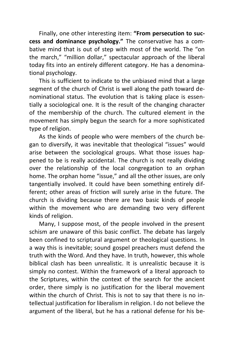Finally, one other interesting item: **"From persecution to success and dominance psychology."** The conservative has a combative mind that is out of step with most of the world. The "on the march," "million dollar," spectacular approach of the liberal today fits into an entirely different category. He has a denominational psychology.

This is sufficient to indicate to the unbiased mind that a large segment of the church of Christ is well along the path toward denominational status. The evolution that is taking place is essentially a sociological one. It is the result of the changing character of the membership of the church. The cultured element in the movement has simply begun the search for a more sophisticated type of religion.

As the kinds of people who were members of the church began to diversify, it was inevitable that theological "issues" would arise between the sociological groups. What those issues happened to be is really accidental. The church is not really dividing over the relationship of the local congregation to an orphan home. The orphan home "issue," and all the other issues, are only tangentially involved. It could have been something entirely different; other areas of friction will surely arise in the future. The church is dividing because there are two basic kinds of people within the movement who are demanding two very different kinds of religion.

Many, I suppose most, of the people involved in the present schism are unaware of this basic conflict. The debate has largely been confined to scriptural argument or theological questions. In a way this is inevitable; sound gospel preachers must defend the truth with the Word. And they have. In truth, however, this whole biblical clash has been unrealistic. It is unrealistic because it is simply no contest. Within the framework of a literal approach to the Scriptures, within the context of the search for the ancient order, there simply is no justification for the liberal movement within the church of Christ. This is not to say that there is no intellectual justification for liberalism in religion. I do not believe the argument of the liberal, but he has a rational defense for his be-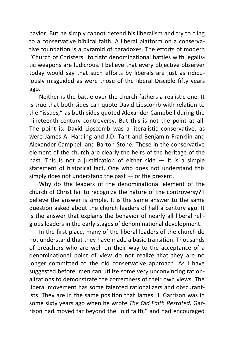havior. But he simply cannot defend his liberalism and try to cling to a conservative biblical faith. A liberal platform on a conservative foundation is a pyramid of paradoxes. The efforts of modern "Church of Christers" to fight denominational battles with legalistic weapons are ludicrous. I believe that every objective observer today would say that such efforts by liberals are just as ridiculously misguided as were those of the liberal Disciple fifty years ago.

Neither is the battle over the church fathers a realistic one. It is true that both sides can quote David Lipscomb with relation to the "issues," as both sides quoted Alexander Campbell during the nineteenth-century controversy. But this is not the point at all. The point is: David Lipscomb was a literalistic conservative, as were James A. Harding and J.D. Tant and Benjamin Franklin and Alexander Campbell and Barton Stone. Those in the conservative element of the church are clearly the heirs of the heritage of the past. This is not a justification of either side — it is a simple statement of historical fact. One who does not understand this simply does not understand the past  $-$  or the present.

Why do the leaders of the denominational element of the church of Christ fail to recognize the nature of the controversy? I believe the answer is simple. It is the same answer to the same question asked about the church leaders of half a century ago. It is the answer that explains the behavior of nearly all liberal religious leaders in the early stages of denominational development.

In the first place, many of the liberal leaders of the church do not understand that they have made a basic transition. Thousands of preachers who are well on their way to the acceptance of a denominational point of view do not realize that they are no longer committed to the old conservative approach. As I have suggested before, men can utilize some very unconvincing rationalizations to demonstrate the correctness of their own views. The liberal movement has some talented rationalizers and obscurantists. They are in the same position that James H. Garrison was in some sixty years ago when he wrote *The Old Faith Restated.* Garrison had moved far beyond the "old faith," and had encouraged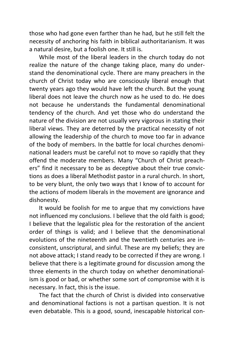those who had gone even farther than he had, but he still felt the necessity of anchoring his faith in biblical authoritarianism. It was a natural desire, but a foolish one. It still is.

While most of the liberal leaders in the church today do not realize the nature of the change taking place, many do understand the denominational cycle. There are many preachers in the church of Christ today who are consciously liberal enough that twenty years ago they would have left the church. But the young liberal does not leave the church now as he used to do. He does not because he understands the fundamental denominational tendency of the church. And yet those who do understand the nature of the division are not usually very vigorous in stating their liberal views. They are deterred by the practical necessity of not allowing the leadership of the church to move too far in advance of the body of members. In the battle for local churches denominational leaders must be careful not to move so rapidly that they offend the moderate members. Many "Church of Christ preachers" find it necessary to be as deceptive about their true convictions as does a liberal Methodist pastor in a rural church. In short, to be very blunt, the only two ways that I know of to account for the actions of modem liberals in the movement are ignorance and dishonesty.

It would be foolish for me to argue that my convictions have not influenced my conclusions. I believe that the old faith is good; I believe that the legalistic plea for the restoration of the ancient order of things is valid; and I believe that the denominational evolutions of the nineteenth and the twentieth centuries are inconsistent, unscriptural, and sinful. These are my beliefs; they are not above attack; I stand ready to be corrected if they are wrong. I believe that there is a legitimate ground for discussion among the three elements in the church today on whether denominationalism is good or bad, or whether some sort of compromise with it is necessary. In fact, this is the issue.

The fact that the church of Christ is divided into conservative and denominational factions is not a partisan question. It is not even debatable. This is a good, sound, inescapable historical con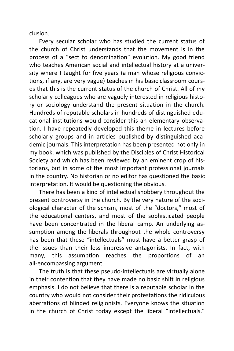clusion.

Every secular scholar who has studied the current status of the church of Christ understands that the movement is in the process of a "sect to denomination" evolution. My good friend who teaches American social and intellectual history at a university where I taught for five years (a man whose religious convictions, if any, are very vague) teaches in his basic classroom courses that this is the current status of the church of Christ. All of my scholarly colleagues who are vaguely interested in religious history or sociology understand the present situation in the church. Hundreds of reputable scholars in hundreds of distinguished educational institutions would consider this an elementary observation. I have repeatedly developed this theme in lectures before scholarly groups and in articles published by distinguished academic journals. This interpretation has been presented not only in my book, which was published by the Disciples of Christ Historical Society and which has been reviewed by an eminent crop of historians, but in some of the most important professional journals in the country. No historian or no editor has questioned the basic interpretation. It would be questioning the obvious.

There has been a kind of intellectual snobbery throughout the present controversy in the church. By the very nature of the sociological character of the schism, most of the "doctors," most of the educational centers, and most of the sophisticated people have been concentrated in the liberal camp. An underlying assumption among the liberals throughout the whole controversy has been that these "intellectuals" must have a better grasp of the issues than their less impressive antagonists. In fact, with many, this assumption reaches the proportions of an all-encompassing argument.

The truth is that these pseudo-intellectuals are virtually alone in their contention that they have made no basic shift in religious emphasis. I do not believe that there is a reputable scholar in the country who would not consider their protestations the ridiculous aberrations of blinded religionists. Everyone knows the situation in the church of Christ today except the liberal "intellectuals."